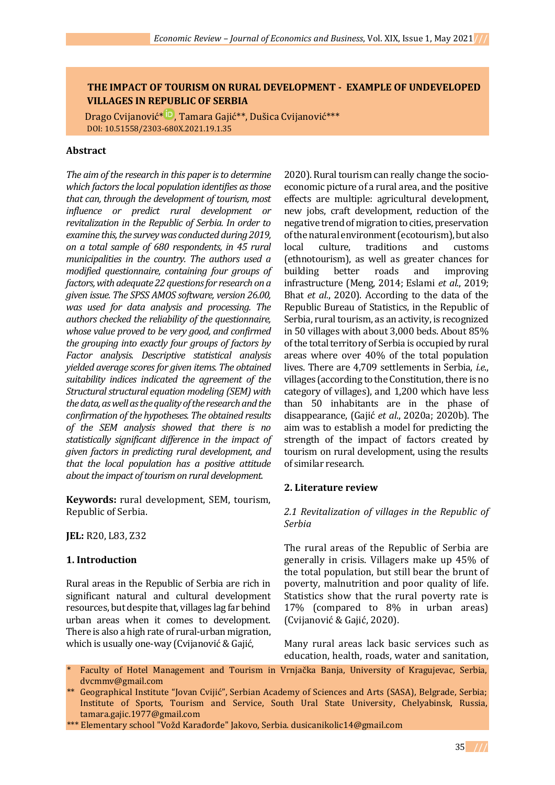## **THE IMPACT OF TOURISM ON RURAL DEVELOPMENT - EXAMPLE OF UNDEVELOPED VILLAGES IN REPUBLIC OF SERBIA**

Drago Cvijanović[\\*](https://orcid.org/0000-0002-4037-327X) , Tamara Gajić\*\*, Dušica Cvijanović\*\*\* DOI: 10.51558/2303-680X.2021.19.1.35

#### **Abstract**

*The aim of the research in this paper is to determine which factors the local population identifies as those that can, through the development of tourism, most influence or predict rural development or revitalization in the Republic of Serbia. In order to examine this, the survey was conducted during 2019, on a total sample of 680 respondents, in 45 rural municipalities in the country. The authors used a modified questionnaire, containing four groups of factors, with adequate 22 questions for research on a given issue. The SPSS AMOS software, version 26.00, was used for data analysis and processing. The authors checked the reliability of the questionnaire, whose value proved to be very good, and confirmed the grouping into exactly four groups of factors by Factor analysis. Descriptive statistical analysis yielded average scores for given items. The obtained suitability indices indicated the agreement of the Structural structural equation modeling (SEM) with the data, as well as the quality of the research andthe confirmation of the hypotheses. The obtained results of the SEM analysis showed that there is no statistically significant difference in the impact of given factors in predicting rural development, and that the local population has a positive attitude about the impact of tourism on rural development.*

**Keywords:** rural development, SEM, tourism, Republic of Serbia.

**JEL:** R20, L83, Z32

## **1. Introduction**

Rural areas in the Republic of Serbia are rich in significant natural and cultural development resources, but despite that, villages lag far behind urban areas when it comes to development. There is also a high rate of rural-urban migration, which is usually one-way (Cvijanović & Gajić,

2020). Rural tourism can really change the socioeconomic picture of a rural area, and the positive effects are multiple: agricultural development, new jobs, craft development, reduction of the negative trend of migration to cities, preservation of the natural environment (ecotourism), but also local culture, traditions and customs (ethnotourism), as well as greater chances for building better roads and improving infrastructure (Meng, 2014; Eslami *et al*., 2019; Bhat *et al.*, 2020). According to the data of the Republic Bureau of Statistics, in the Republic of Serbia, rural tourism, as an activity, is recognized in 50 villages with about 3,000 beds. About 85% of the total territory of Serbia is occupied by rural areas where over 40% of the total population lives. There are 4,709 settlements in Serbia, *i.e*., villages (according to the Constitution, there is no category of villages), and 1,200 which have less than 50 inhabitants are in the phase of disappearance, (Gajić *et al*., 2020a; 2020b). The aim was to establish a model for predicting the strength of the impact of factors created by tourism on rural development, using the results of similar research.

## **2. Literature review**

*2.1 Revitalization of villages in the Republic of Serbia*

The rural areas of the Republic of Serbia are generally in crisis. Villagers make up 45% of the total population, but still bear the brunt of poverty, malnutrition and poor quality of life. Statistics show that the rural poverty rate is 17% (compared to 8% in urban areas) (Cvijanović & Gajić, 2020).

Many rural areas lack basic services such as education, health, roads, water and sanitation,

Faculty of Hotel Management and Tourism in Vrnjačka Banja, University of Kragujevac, Serbia, dvcmmv@gmail.com

Geographical Institute "Jovan Cvijić", Serbian Academy of Sciences and Arts (SASA), Belgrade, Serbia; Institute of Sports, Tourism and Service, South Ural State University, Chelyabinsk, Russia, tamara.gajic.1977@gmail.com

<sup>\*\*\*</sup> Elementary school "Vožd Karađorđe" Jakovo, Serbia. dusicanikolic14@gmail.com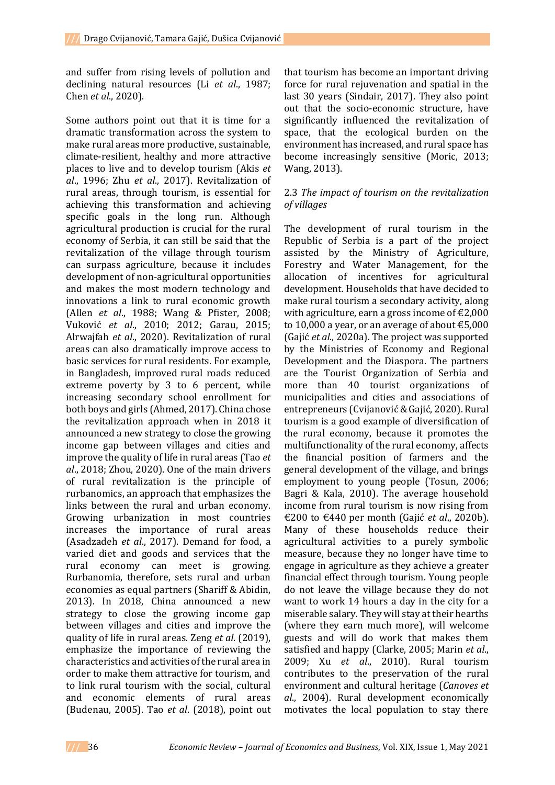and suffer from rising levels of pollution and declining natural resources (Li *et al*., 1987; Chen *et al*., 2020).

Some authors point out that it is time for a dramatic transformation across the system to make rural areas more productive, sustainable, climate-resilient, healthy and more attractive places to live and to develop tourism (Akis *et al*., 1996; Zhu *et al*., 2017). Revitalization of rural areas, through tourism, is essential for achieving this transformation and achieving specific goals in the long run. Although agricultural production is crucial for the rural economy of Serbia, it can still be said that the revitalization of the village through tourism can surpass agriculture, because it includes development of non-agricultural opportunities and makes the most modern technology and innovations a link to rural economic growth (Allen *et al*., 1988; Wang & Pfister, 2008; Vuković *et al*., 2010; 2012; Garau, 2015; Alrwajfah *et al*., 2020). Revitalization of rural areas can also dramatically improve access to basic services for rural residents. For example, in Bangladesh, improved rural roads reduced extreme poverty by 3 to 6 percent, while increasing secondary school enrollment for both boys and girls (Ahmed, 2017). China chose the revitalization approach when in 2018 it announced a new strategy to close the growing income gap between villages and cities and improve the quality of life in rural areas (Tao *et al*., 2018; Zhou, 2020). One of the main drivers of rural revitalization is the principle of rurbanomics, an approach that emphasizes the links between the rural and urban economy. Growing urbanization in most countries increases the importance of rural areas (Asadzadeh *et al*., 2017). Demand for food, a varied diet and goods and services that the rural economy can meet is growing. Rurbanomia, therefore, sets rural and urban economies as equal partners (Shariff & Abidin, 2013). In 2018, China announced a new strategy to close the growing income gap between villages and cities and improve the quality of life in rural areas. Zeng *et al*. (2019), emphasize the importance of reviewing the characteristics and activities of the rural area in order to make them attractive for tourism, and to link rural tourism with the social, cultural and economic elements of rural areas (Budenau, 2005). Tao *et al*. (2018), point out

that tourism has become an important driving force for rural rejuvenation and spatial in the last 30 years (Sindair, 2017). They also point out that the socio-economic structure, have significantly influenced the revitalization of space, that the ecological burden on the environment has increased, and rural space has become increasingly sensitive (Moric, 2013; Wang, 2013).

### 2.3 *The impact of tourism on the revitalization of villages*

The development of rural tourism in the Republic of Serbia is a part of the project assisted by the Ministry of Agriculture, Forestry and Water Management, for the allocation of incentives for agricultural development. Households that have decided to make rural tourism a secondary activity, along with agriculture, earn a gross income of  $E2,000$ to 10,000 a year, or an average of about  $\text{\textsterling}5,000$ (Gajić *et al*., 2020a). The project was supported by the Ministries of Economy and Regional Development and the Diaspora. The partners are the Tourist Organization of Serbia and more than 40 tourist organizations of municipalities and cities and associations of entrepreneurs (Cvijanović & Gajić, 2020). Rural tourism is a good example of diversification of the rural economy, because it promotes the multifunctionality of the rural economy, affects the financial position of farmers and the general development of the village, and brings employment to young people (Tosun, 2006; Bagri & Kala, 2010). The average household income from rural tourism is now rising from €200 to €440 per month (Gajić *et al*., 2020b). Many of these households reduce their agricultural activities to a purely symbolic measure, because they no longer have time to engage in agriculture as they achieve a greater financial effect through tourism. Young people do not leave the village because they do not want to work 14 hours a day in the city for a miserable salary. They will stay at their hearths (where they earn much more), will welcome guests and will do work that makes them satisfied and happy (Clarke, 2005; Marin *et al*., 2009; Xu *et al*., 2010). Rural tourism contributes to the preservation of the rural environment and cultural heritage (*Canoves et al*., 2004). Rural development economically motivates the local population to stay there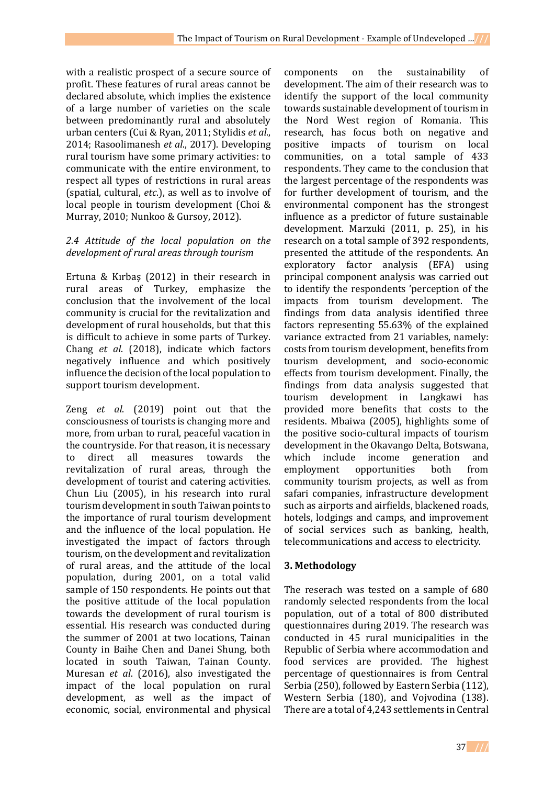with a realistic prospect of a secure source of profit. These features of rural areas cannot be declared absolute, which implies the existence of a large number of varieties on the scale between predominantly rural and absolutely urban centers (Cui & Ryan, 2011; Stylidis *et al*., 2014; Rasoolimanesh *et al*., 2017). Developing rural tourism have some primary activities: to communicate with the entire environment, to respect all types of restrictions in rural areas (spatial, cultural, *etc*.), as well as to involve of local people in tourism development (Choi & Murray, 2010; Nunkoo & Gursoy, 2012).

## *2.4 Attitude of the local population on the development of rural areas through tourism*

Ertuna & Kırbaş (2012) in their research in rural areas of Turkey, emphasize the conclusion that the involvement of the local community is crucial for the revitalization and development of rural households, but that this is difficult to achieve in some parts of Turkey. Chang *et al*. (2018), indicate which factors negatively influence and which positively influence the decision of the local population to support tourism development.

Zeng *et al*. (2019) point out that the consciousness of tourists is changing more and more, from urban to rural, peaceful vacation in the countryside. For that reason, it is necessary to direct all measures towards the revitalization of rural areas, through the development of tourist and catering activities. Chun Liu (2005), in his research into rural tourism development in south Taiwan points to the importance of rural tourism development and the influence of the local population. He investigated the impact of factors through tourism, on the development and revitalization of rural areas, and the attitude of the local population, during 2001, on a total valid sample of 150 respondents. He points out that the positive attitude of the local population towards the development of rural tourism is essential. His research was conducted during the summer of 2001 at two locations, Tainan County in Baihe Chen and Danei Shung, both located in south Taiwan, Tainan County. Muresan *et al*. (2016), also investigated the impact of the local population on rural development, as well as the impact of economic, social, environmental and physical

components on the sustainability of development. The aim of their research was to identify the support of the local community towards sustainable development of tourism in the Nord West region of Romania. This research, has focus both on negative and positive impacts of tourism on local communities, on a total sample of 433 respondents. They came to the conclusion that the largest percentage of the respondents was for further development of tourism, and the environmental component has the strongest influence as a predictor of future sustainable development. Marzuki (2011, p. 25), in his research on a total sample of 392 respondents, presented the attitude of the respondents. An exploratory factor analysis (EFA) using principal component analysis was carried out to identify the respondents 'perception of the impacts from tourism development. The findings from data analysis identified three factors representing 55.63% of the explained variance extracted from 21 variables, namely: costs from tourism development, benefits from tourism development, and socio-economic effects from tourism development. Finally, the findings from data analysis suggested that tourism development in Langkawi has provided more benefits that costs to the residents. Mbaiwa (2005), highlights some of the positive socio-cultural impacts of tourism development in the Okavango Delta, Botswana, which include income generation and employment opportunities both from community tourism projects, as well as from safari companies, infrastructure development such as airports and airfields, blackened roads, hotels, lodgings and camps, and improvement of social services such as banking, health, telecommunications and access to electricity.

## **3. Methodology**

The reserach was tested on a sample of 680 randomly selected respondents from the local population, out of a total of 800 distributed questionnaires during 2019. The research was conducted in 45 rural municipalities in the Republic of Serbia where accommodation and food services are provided. The highest percentage of questionnaires is from Central Serbia (250), followed by Eastern Serbia (112), Western Serbia (180), and Vojvodina (138). There are a total of 4,243 settlements in Central

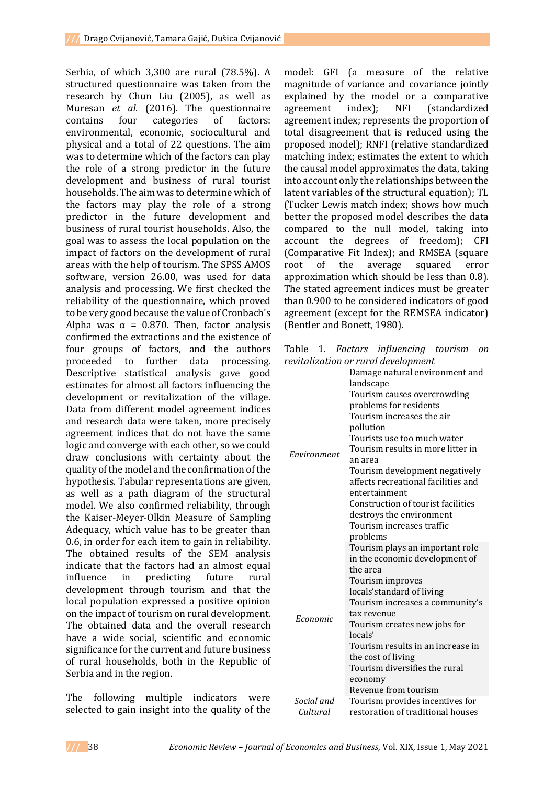Serbia, of which 3,300 are rural (78.5%). A structured questionnaire was taken from the research by Chun Liu (2005), as well as Muresan *et al.* (2016). The questionnaire contains four categories of factors: environmental, economic, sociocultural and physical and a total of 22 questions. The aim was to determine which of the factors can play the role of a strong predictor in the future development and business of rural tourist households. The aim was to determine which of the factors may play the role of a strong predictor in the future development and business of rural tourist households. Also, the goal was to assess the local population on the impact of factors on the development of rural areas with the help of tourism. The SPSS AMOS software, version 26.00, was used for data analysis and processing. We first checked the reliability of the questionnaire, which proved to be very good because the value of Cronbach's Alpha was  $\alpha = 0.870$ . Then, factor analysis confirmed the extractions and the existence of four groups of factors, and the authors proceeded to further data processing. Descriptive statistical analysis gave good estimates for almost all factors influencing the development or revitalization of the village. Data from different model agreement indices and research data were taken, more precisely agreement indices that do not have the same logic and converge with each other, so we could draw conclusions with certainty about the quality of the model and the confirmation of the hypothesis. Tabular representations are given, as well as a path diagram of the structural model. We also confirmed reliability, through the Kaiser-Meyer-Olkin Measure of Sampling Adequacy, which value has to be greater than 0.6, in order for each item to gain in reliability. The obtained results of the SEM analysis indicate that the factors had an almost equal influence in predicting future rural development through tourism and that the local population expressed a positive opinion on the impact of tourism on rural development. The obtained data and the overall research have a wide social, scientific and economic significance for the current and future business of rural households, both in the Republic of Serbia and in the region.

The following multiple indicators were selected to gain insight into the quality of the

model: GFI (a measure of the relative magnitude of variance and covariance jointly explained by the model or a comparative agreement index); NFI (standardized agreement index; represents the proportion of total disagreement that is reduced using the proposed model); RNFI (relative standardized matching index; estimates the extent to which the causal model approximates the data, taking into account only the relationships between the latent variables of the structural equation); TL (Tucker Lewis match index; shows how much better the proposed model describes the data compared to the null model, taking into account the degrees of freedom); CFI (Comparative Fit Index); and RMSEA (square root of the average squared error approximation which should be less than 0.8). The stated agreement indices must be greater than 0.900 to be considered indicators of good agreement (except for the REMSEA indicator) (Bentler and Bonett, 1980).

|  | Table 1. Factors influencing tourism on |  |
|--|-----------------------------------------|--|
|  | revitalization or rural development     |  |

| $\alpha$    |                                     |  |  |  |  |
|-------------|-------------------------------------|--|--|--|--|
|             | Damage natural environment and      |  |  |  |  |
|             | landscape                           |  |  |  |  |
|             | Tourism causes overcrowding         |  |  |  |  |
|             | problems for residents              |  |  |  |  |
|             | Tourism increases the air           |  |  |  |  |
|             | pollution                           |  |  |  |  |
|             | Tourists use too much water         |  |  |  |  |
|             | Tourism results in more litter in   |  |  |  |  |
| Environment | an area                             |  |  |  |  |
|             | Tourism development negatively      |  |  |  |  |
|             | affects recreational facilities and |  |  |  |  |
|             | entertainment                       |  |  |  |  |
|             | Construction of tourist facilities  |  |  |  |  |
|             | destroys the environment            |  |  |  |  |
|             | Tourism increases traffic           |  |  |  |  |
|             | problems                            |  |  |  |  |
|             | Tourism plays an important role     |  |  |  |  |
|             | in the economic development of      |  |  |  |  |
|             | the area                            |  |  |  |  |
|             | Tourism improves                    |  |  |  |  |
|             | locals'standard of living           |  |  |  |  |
|             | Tourism increases a community's     |  |  |  |  |
| Economic    | tax revenue                         |  |  |  |  |
|             | Tourism creates new jobs for        |  |  |  |  |
|             | locals'                             |  |  |  |  |
|             | Tourism results in an increase in   |  |  |  |  |
|             | the cost of living                  |  |  |  |  |
|             | Tourism diversifies the rural       |  |  |  |  |
|             | economy                             |  |  |  |  |
|             | Revenue from tourism                |  |  |  |  |
| Social and  | Tourism provides incentives for     |  |  |  |  |
| Cultural    | restoration of traditional houses   |  |  |  |  |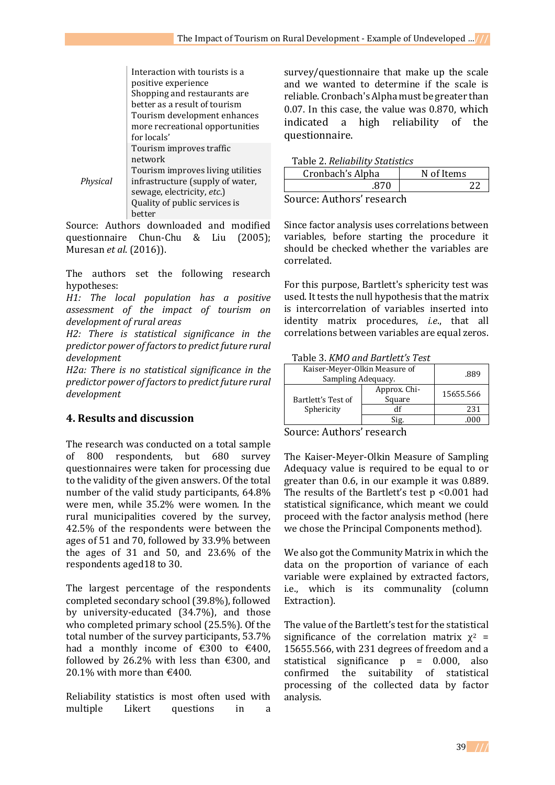|          | Interaction with tourists is a    |
|----------|-----------------------------------|
|          | positive experience               |
|          | Shopping and restaurants are      |
|          | better as a result of tourism     |
|          | Tourism development enhances      |
|          | more recreational opportunities   |
|          | for locals'                       |
|          | Tourism improves traffic          |
|          | network                           |
|          | Tourism improves living utilities |
| Physical | infrastructure (supply of water,  |
|          | sewage, electricity, etc.)        |
|          | Quality of public services is     |
|          | better                            |

Source: Authors downloaded and modified questionnaire Chun-Chu & Liu (2005); Muresan *et al*. (2016)).

The authors set the following research hypotheses:

*H1: The local population has a positive assessment of the impact of tourism on development of rural areas*

*H2: There is statistical significance in the predictor power of factors to predict future rural development*

*H2a: There is no statistical significance in the predictor power of factors to predict future rural development*

## **4. Results and discussion**

The research was conducted on a total sample of 800 respondents, but 680 survey questionnaires were taken for processing due to the validity of the given answers. Of the total number of the valid study participants, 64.8% were men, while 35.2% were women. In the rural municipalities covered by the survey, 42.5% of the respondents were between the ages of 51 and 70, followed by 33.9% between the ages of 31 and 50, and 23.6% of the respondents aged18 to 30.

The largest percentage of the respondents completed secondary school (39.8%), followed by university-educated (34.7%), and those who completed primary school (25.5%). Of the total number of the survey participants, 53.7% had a monthly income of  $\text{\textsterling}300$  to  $\text{\textsterling}400$ , followed by 26.2% with less than  $\epsilon$ 300, and 20.1% with more than  $€400$ .

Reliability statistics is most often used with multiple Likert questions in a

survey/questionnaire that make up the scale and we wanted to determine if the scale is reliable. Cronbach's Alpha must be greater than 0.07. In this case, the value was 0.870, which indicated a high reliability of the questionnaire.

#### Table 2. *Reliability Statistics*

| Cronbach's Alpha         | N of Items |  |  |
|--------------------------|------------|--|--|
|                          |            |  |  |
| Course Authors' research |            |  |  |

Source: Authors' research

Since factor analysis uses correlations between variables, before starting the procedure it should be checked whether the variables are correlated.

For this purpose, Bartlett's sphericity test was used. It tests the null hypothesis that the matrix is intercorrelation of variables inserted into identity matrix procedures, *i.e*., that all correlations between variables are equal zeros.

Table 3. *KMO and Bartlett's Test*

| Kaiser-Meyer-Olkin Measure of<br>Sampling Adequacy. | .889                   |           |
|-----------------------------------------------------|------------------------|-----------|
| Bartlett's Test of<br>Sphericity                    | Approx. Chi-<br>Square | 15655.566 |
|                                                     |                        | 231       |
|                                                     | Sig.                   | .000      |

Source: Authors' research

The Kaiser-Meyer-Olkin Measure of Sampling Adequacy value is required to be equal to or greater than 0.6, in our example it was 0.889. The results of the Bartlett's test p <0.001 had statistical significance, which meant we could proceed with the factor analysis method (here we chose the Principal Components method).

We also got the Community Matrix in which the data on the proportion of variance of each variable were explained by extracted factors, i.e., which is its communality (column Extraction).

The value of the Bartlett's test for the statistical significance of the correlation matrix  $\chi^2$  = 15655.566, with 231 degrees of freedom and a statistical significance p = 0.000, also confirmed the suitability of statistical processing of the collected data by factor analysis.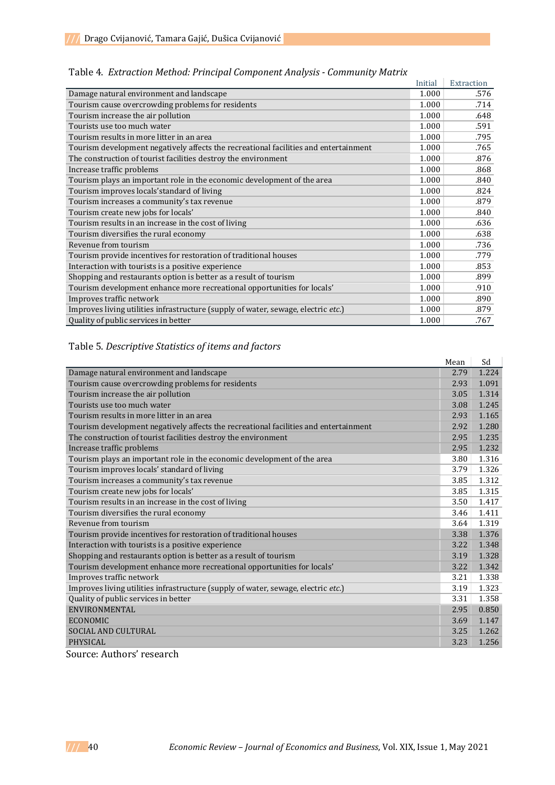|                                                                                      | Initial | Extraction |
|--------------------------------------------------------------------------------------|---------|------------|
| Damage natural environment and landscape                                             | 1.000   | .576       |
| Tourism cause overcrowding problems for residents                                    | 1.000   | .714       |
| Tourism increase the air pollution                                                   | 1.000   | .648       |
| Tourists use too much water                                                          | 1.000   | .591       |
| Tourism results in more litter in an area                                            | 1.000   | .795       |
| Tourism development negatively affects the recreational facilities and entertainment | 1.000   | .765       |
| The construction of tourist facilities destroy the environment                       | 1.000   | .876       |
| Increase traffic problems                                                            | 1.000   | .868       |
| Tourism plays an important role in the economic development of the area              | 1.000   | .840       |
| Tourism improves locals'standard of living                                           | 1.000   | .824       |
| Tourism increases a community's tax revenue                                          | 1.000   | .879       |
| Tourism create new jobs for locals'                                                  | 1.000   | .840       |
| Tourism results in an increase in the cost of living                                 | 1.000   | .636       |
| Tourism diversifies the rural economy                                                | 1.000   | .638       |
| Revenue from tourism                                                                 | 1.000   | .736       |
| Tourism provide incentives for restoration of traditional houses                     | 1.000   | .779       |
| Interaction with tourists is a positive experience                                   | 1.000   | .853       |
| Shopping and restaurants option is better as a result of tourism                     | 1.000   | .899       |
| Tourism development enhance more recreational opportunities for locals'              | 1.000   | .910       |
| Improves traffic network                                                             | 1.000   | .890       |
| Improves living utilities infrastructure (supply of water, sewage, electric etc.)    | 1.000   | .879       |
| Quality of public services in better                                                 | 1.000   | .767       |

Table 4. *Extraction Method: Principal Component Analysis - Community Matrix*

# Table 5. *Descriptive Statistics of items and factors*

|                                                                                      | Mean | Sd    |
|--------------------------------------------------------------------------------------|------|-------|
| Damage natural environment and landscape                                             | 2.79 | 1.224 |
| Tourism cause overcrowding problems for residents                                    | 2.93 | 1.091 |
| Tourism increase the air pollution                                                   | 3.05 | 1.314 |
| Tourists use too much water                                                          | 3.08 | 1.245 |
| Tourism results in more litter in an area                                            | 2.93 | 1.165 |
| Tourism development negatively affects the recreational facilities and entertainment | 2.92 | 1.280 |
| The construction of tourist facilities destroy the environment                       | 2.95 | 1.235 |
| Increase traffic problems                                                            | 2.95 | 1.232 |
| Tourism plays an important role in the economic development of the area              | 3.80 | 1.316 |
| Tourism improves locals' standard of living                                          | 3.79 | 1.326 |
| Tourism increases a community's tax revenue                                          | 3.85 | 1.312 |
| Tourism create new jobs for locals'                                                  | 3.85 | 1.315 |
| Tourism results in an increase in the cost of living                                 | 3.50 | 1.417 |
| Tourism diversifies the rural economy                                                | 3.46 | 1.411 |
| Revenue from tourism                                                                 | 3.64 | 1.319 |
| Tourism provide incentives for restoration of traditional houses                     | 3.38 | 1.376 |
| Interaction with tourists is a positive experience                                   | 3.22 | 1.348 |
| Shopping and restaurants option is better as a result of tourism                     | 3.19 | 1.328 |
| Tourism development enhance more recreational opportunities for locals'              | 3.22 | 1.342 |
| Improves traffic network                                                             | 3.21 | 1.338 |
| Improves living utilities infrastructure (supply of water, sewage, electric etc.)    | 3.19 | 1.323 |
| Quality of public services in better                                                 | 3.31 | 1.358 |
| <b>ENVIRONMENTAL</b>                                                                 | 2.95 | 0.850 |
| <b>ECONOMIC</b>                                                                      | 3.69 | 1.147 |
| SOCIAL AND CULTURAL                                                                  | 3.25 | 1.262 |
| <b>PHYSICAL</b>                                                                      | 3.23 | 1.256 |

Source: Authors' research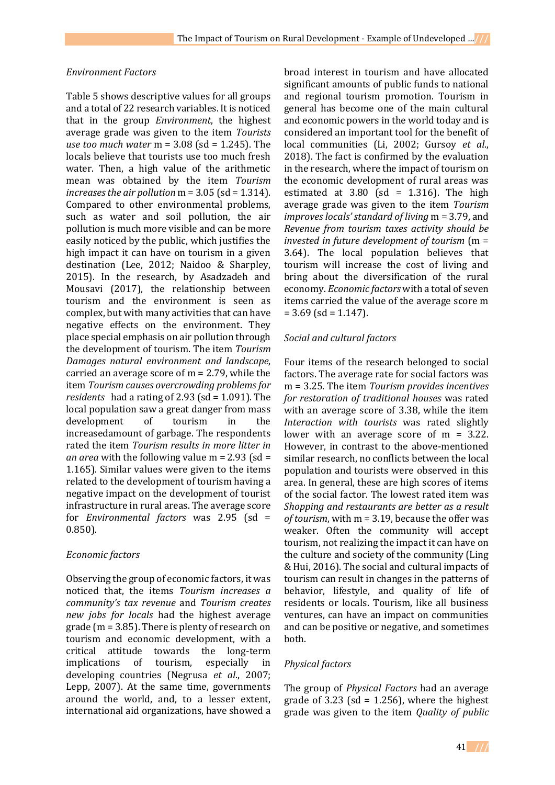#### *Environment Factors*

Table 5 shows descriptive values for all groups and a total of 22 research variables. It is noticed that in the group *Environment*, the highest average grade was given to the item *Tourists use too much water* m = 3.08 (sd = 1.245). The locals believe that tourists use too much fresh water. Then, a high value of the arithmetic mean was obtained by the item *Tourism increases the air pollution* m = 3.05 (sd = 1.314). Compared to other environmental problems, such as water and soil pollution, the air pollution is much more visible and can be more easily noticed by the public, which justifies the high impact it can have on tourism in a given destination (Lee, 2012; Naidoo & Sharpley, 2015). In the research, by Asadzadeh and Mousavi (2017), the relationship between tourism and the environment is seen as complex, but with many activities that can have negative effects on the environment. They place special emphasis on air pollution through the development of tourism. The item *Tourism Damages natural environment and landscape*, carried an average score of m = 2.79, while the item *Tourism causes overcrowding problems for residents* had a rating of 2.93 (sd = 1.091). The local population saw a great danger from mass development of tourism in the increasedamount of garbage. The respondents rated the item *Tourism results in more litter in an area* with the following value m = 2.93 (sd = 1.165). Similar values were given to the items related to the development of tourism having a negative impact on the development of tourist infrastructure in rural areas. The average score for *Environmental factors* was 2.95 (sd = 0.850).

#### *Economic factors*

Observing the group of economic factors, it was noticed that, the items *Tourism increases a community's tax revenue* and *Tourism creates new jobs for locals* had the highest average grade (m = 3.85). There is plenty of research on tourism and economic development, with a critical attitude towards the long-term implications of tourism, especially in developing countries (Negrusa *et al*., 2007; Lepp, 2007). At the same time, governments around the world, and, to a lesser extent, international aid organizations, have showed a

broad interest in tourism and have allocated significant amounts of public funds to national and regional tourism promotion. Tourism in general has become one of the main cultural and economic powers in the world today and is considered an important tool for the benefit of local communities (Li, 2002; Gursoy *et al*., 2018). The fact is confirmed by the evaluation in the research, where the impact of tourism on the economic development of rural areas was estimated at  $3.80$  (sd = 1.316). The high average grade was given to the item *Tourism improves locals' standard of living* m = 3.79, and *Revenue from tourism taxes activity should be invested in future development of tourism* (m = 3.64). The local population believes that tourism will increase the cost of living and bring about the diversification of the rural economy. *Economic factors* with a total of seven items carried the value of the average score m  $= 3.69$  (sd = 1.147).

#### *Social and cultural factors*

Four items of the research belonged to social factors. The average rate for social factors was m = 3.25. The item *Tourism provides incentives for restoration of traditional houses* was rated with an average score of 3.38, while the item *Interaction with tourists* was rated slightly lower with an average score of  $m = 3.22$ . However, in contrast to the above-mentioned similar research, no conflicts between the local population and tourists were observed in this area. In general, these are high scores of items of the social factor. The lowest rated item was *Shopping and restaurants are better as a result of tourism*, with m = 3.19, because the offer was weaker. Often the community will accept tourism, not realizing the impact it can have on the culture and society of the community (Ling & Hui, 2016). The social and cultural impacts of tourism can result in changes in the patterns of behavior, lifestyle, and quality of life of residents or locals. Tourism, like all business ventures, can have an impact on communities and can be positive or negative, and sometimes both.

#### *Physical factors*

The group of *Physical Factors* had an average grade of  $3.23$  (sd = 1.256), where the highest grade was given to the item *Quality of public*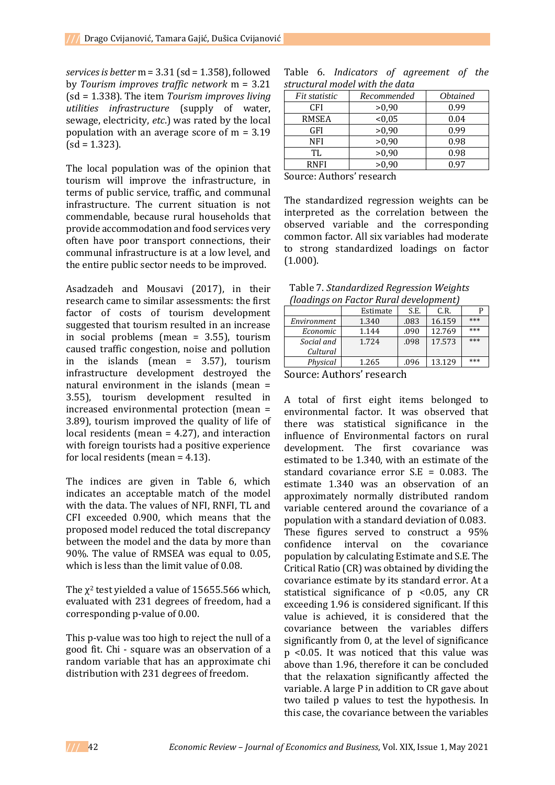*services is better* m = 3.31 (sd = 1.358), followed by *Tourism improves traffic network* m = 3.21 (sd = 1.338). The item *Tourism improves living utilities infrastructure* (supply of water, sewage, electricity, *etc*.) was rated by the local population with an average score of m = 3.19  $(sd = 1.323)$ .

The local population was of the opinion that tourism will improve the infrastructure, in terms of public service, traffic, and communal infrastructure. The current situation is not commendable, because rural households that provide accommodation and food services very often have poor transport connections, their communal infrastructure is at a low level, and the entire public sector needs to be improved.

Asadzadeh and Mousavi (2017), in their research came to similar assessments: the first factor of costs of tourism development suggested that tourism resulted in an increase in social problems (mean = 3.55), tourism caused traffic congestion, noise and pollution in the islands (mean = 3.57), tourism infrastructure development destroyed the natural environment in the islands (mean = 3.55), tourism development resulted in increased environmental protection (mean = 3.89), tourism improved the quality of life of local residents (mean = 4.27), and interaction with foreign tourists had a positive experience for local residents (mean = 4.13).

The indices are given in Table 6, which indicates an acceptable match of the model with the data. The values of NFI, RNFI, TL and CFI exceeded 0.900, which means that the proposed model reduced the total discrepancy between the model and the data by more than 90%. The value of RMSEA was equal to 0.05, which is less than the limit value of 0.08.

The  $\chi^2$  test yielded a value of 15655.566 which, evaluated with 231 degrees of freedom, had a corresponding p-value of 0.00.

This p-value was too high to reject the null of a good fit. Chi - square was an observation of a random variable that has an approximate chi distribution with 231 degrees of freedom.

|  |                                | Table 6. Indicators of agreement of the |  |
|--|--------------------------------|-----------------------------------------|--|
|  | structural model with the data |                                         |  |

| Recommended | <i><b>Obtained</b></i> |
|-------------|------------------------|
| >0,90       | 0.99                   |
| < 0.05      | 0.04                   |
| >0,90       | 0.99                   |
| >0,90       | 0.98                   |
| >0,90       | 0.98                   |
| >0,90       | 0.97                   |
|             |                        |

Source: Authors' research

The standardized regression weights can be interpreted as the correlation between the observed variable and the corresponding common factor. All six variables had moderate to strong standardized loadings on factor (1.000).

| Table 7. Standardized Regression Weights |  |
|------------------------------------------|--|
| (loadings on Factor Rural development)   |  |

| -77         |          |      |        |     |
|-------------|----------|------|--------|-----|
|             | Estimate | S.E. | C.R.   |     |
| Environment | 1.340    | .083 | 16.159 | *** |
| Economic    | 1.144    | .090 | 12.769 | *** |
| Social and  | 1.724    | .098 | 17.573 | *** |
| Cultural    |          |      |        |     |
| Physical    | 1.265    | .096 | 13.129 | *** |

Source: Authors' research

A total of first eight items belonged to environmental factor. It was observed that there was statistical significance in the influence of Environmental factors on rural development. The first covariance was estimated to be 1.340, with an estimate of the standard covariance error S.E = 0.083. The estimate 1.340 was an observation of an approximately normally distributed random variable centered around the covariance of a population with a standard deviation of 0.083. These figures served to construct a 95% confidence interval on the covariance population by calculating Estimate and S.E. The Critical Ratio (CR) was obtained by dividing the covariance estimate by its standard error. At a statistical significance of p <0.05, any CR exceeding 1.96 is considered significant. If this value is achieved, it is considered that the covariance between the variables differs significantly from 0, at the level of significance p <0.05. It was noticed that this value was above than 1.96, therefore it can be concluded that the relaxation significantly affected the variable. A large P in addition to CR gave about two tailed p values to test the hypothesis. In this case, the covariance between the variables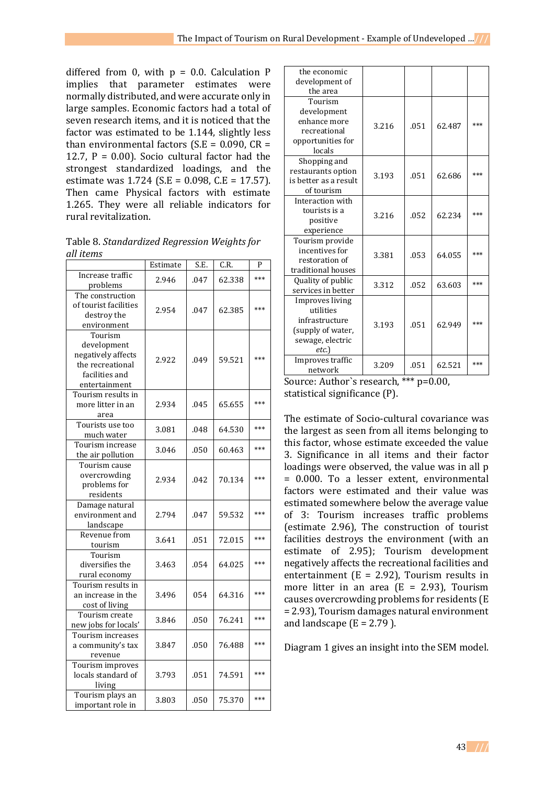differed from 0, with  $p = 0.0$ . Calculation P implies that parameter estimates were normally distributed, and were accurate only in large samples. Economic factors had a total of seven research items, and it is noticed that the factor was estimated to be 1.144, slightly less than environmental factors ( $S.E = 0.090$ ,  $CR =$ 12.7,  $P = 0.00$ . Socio cultural factor had the strongest standardized loadings, and the estimate was 1.724 (S.E = 0.098, C.E = 17.57). Then came Physical factors with estimate 1.265. They were all reliable indicators for rural revitalization.

Table 8. *Standardized Regression Weights for all items*

|                       | Estimate | S.E. | C.R.   | P   |
|-----------------------|----------|------|--------|-----|
| Increase traffic      | 2.946    | .047 | 62.338 | *** |
| problems              |          |      |        |     |
| The construction      |          |      |        |     |
| of tourist facilities | 2.954    | .047 | 62.385 | *** |
| destroy the           |          |      |        |     |
| environment           |          |      |        |     |
| Tourism               |          |      |        |     |
| development           |          |      |        |     |
| negatively affects    | 2.922    | .049 | 59.521 | *** |
| the recreational      |          |      |        |     |
| facilities and        |          |      |        |     |
| entertainment         |          |      |        |     |
| Tourism results in    |          |      |        |     |
| more litter in an     | 2.934    | .045 | 65.655 | *** |
| area                  |          |      |        |     |
| Tourists use too      | 3.081    | .048 | 64.530 | *** |
| much water            |          |      |        |     |
| Tourism increase      | 3.046    | .050 | 60.463 | *** |
| the air pollution     |          |      |        |     |
| Tourism cause         |          |      |        |     |
| overcrowding          | 2.934    |      |        | *** |
| problems for          |          | .042 | 70.134 |     |
| residents             |          |      |        |     |
| Damage natural        |          |      |        |     |
| environment and       | 2.794    | .047 | 59.532 | *** |
| landscape             |          |      |        |     |
| Revenue from          |          |      |        | *** |
| tourism               | 3.641    | .051 | 72.015 |     |
| Tourism               |          |      |        |     |
| diversifies the       | 3.463    | .054 | 64.025 | *** |
| rural economy         |          |      |        |     |
| Tourism results in    |          |      |        |     |
| an increase in the    | 3.496    | 054  | 64.316 | *** |
| cost of living        |          |      |        |     |
| Tourism create        |          |      |        | *** |
| new jobs for locals'  | 3.846    | .050 | 76.241 |     |
| Tourism increases     |          |      |        |     |
| a community's tax     | 3.847    | .050 | 76.488 | *** |
| revenue               |          |      |        |     |
| Tourism improves      |          |      |        |     |
| locals standard of    | 3.793    | .051 | 74.591 | *** |
| living                |          |      |        |     |
| Tourism plays an      |          |      |        |     |
| important role in     | 3.803    | .050 | 75.370 | *** |
|                       |          |      |        |     |

| the economic          |       |      |        |       |
|-----------------------|-------|------|--------|-------|
| development of        |       |      |        |       |
| the area              |       |      |        |       |
| Tourism               |       |      |        |       |
| development           |       |      |        |       |
| enhance more          | 3.216 | .051 | 62.487 | ***   |
| recreational          |       |      |        |       |
| opportunities for     |       |      |        |       |
| locals                |       |      |        |       |
| Shopping and          |       |      |        |       |
| restaurants option    | 3.193 | .051 | 62.686 | $***$ |
| is better as a result |       |      |        |       |
| of tourism            |       |      |        |       |
| Interaction with      |       |      |        |       |
| tourists is a         | 3.216 | .052 | 62.234 | ***   |
| positive              |       |      |        |       |
| experience            |       |      |        |       |
| Tourism provide       |       |      |        |       |
| incentives for        | 3.381 | .053 | 64.055 | $***$ |
| restoration of        |       |      |        |       |
| traditional houses    |       |      |        |       |
| Quality of public     | 3.312 | .052 | 63.603 | ***   |
| services in better    |       |      |        |       |
| Improves living       |       |      |        |       |
| utilities             |       |      |        |       |
| infrastructure        | 3.193 | .051 | 62.949 | $***$ |
| (supply of water,     |       |      |        |       |
| sewage, electric      |       |      |        |       |
| etc.                  |       |      |        |       |
| Improves traffic      | 3.209 | .051 | 62.521 | $***$ |
| network               |       |      |        |       |

```
Source: Author`s research, *** p=0.00, 
statistical significance (P).
```
The estimate of Socio-cultural covariance was the largest as seen from all items belonging to this factor, whose estimate exceeded the value 3. Significance in all items and their factor loadings were observed, the value was in all p = 0.000. To a lesser extent, environmental factors were estimated and their value was estimated somewhere below the average value of 3: Tourism increases traffic problems (estimate 2.96), The construction of tourist facilities destroys the environment (with an estimate of 2.95); Tourism development negatively affects the recreational facilities and entertainment ( $E = 2.92$ ), Tourism results in more litter in an area  $(E = 2.93)$ , Tourism causes overcrowding problems for residents (E = 2.93), Tourism damages natural environment and landscape  $(E = 2.79)$ .

Diagram 1 gives an insight into the SEM model.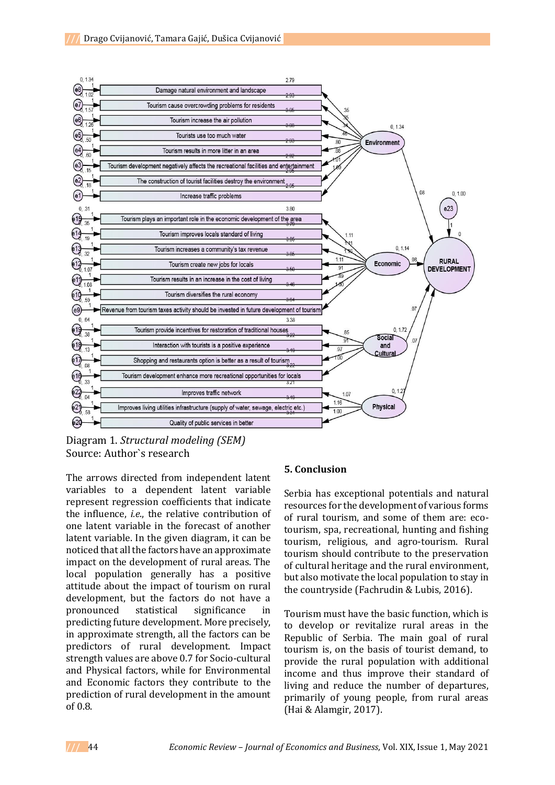

Diagram 1. *Structural modeling (SEM)*  Source: Author`s research

The arrows directed from independent latent variables to a dependent latent variable represent regression coefficients that indicate the influence, *i.e*., the relative contribution of one latent variable in the forecast of another latent variable. In the given diagram, it can be noticed that all the factors have an approximate impact on the development of rural areas. The local population generally has a positive attitude about the impact of tourism on rural development, but the factors do not have a pronounced statistical significance in predicting future development. More precisely, in approximate strength, all the factors can be predictors of rural development. Impact strength values are above 0.7 for Socio-cultural and Physical factors, while for Environmental and Economic factors they contribute to the prediction of rural development in the amount of 0.8.

## **5. Conclusion**

Serbia has exceptional potentials and natural resources for the development of various forms of rural tourism, and some of them are: ecotourism, spa, recreational, hunting and fishing tourism, religious, and agro-tourism. Rural tourism should contribute to the preservation of cultural heritage and the rural environment, but also motivate the local population to stay in the countryside (Fachrudin & Lubis, 2016).

Tourism must have the basic function, which is to develop or revitalize rural areas in the Republic of Serbia. The main goal of rural tourism is, on the basis of tourist demand, to provide the rural population with additional income and thus improve their standard of living and reduce the number of departures, primarily of young people, from rural areas (Hai & Alamgir, 2017).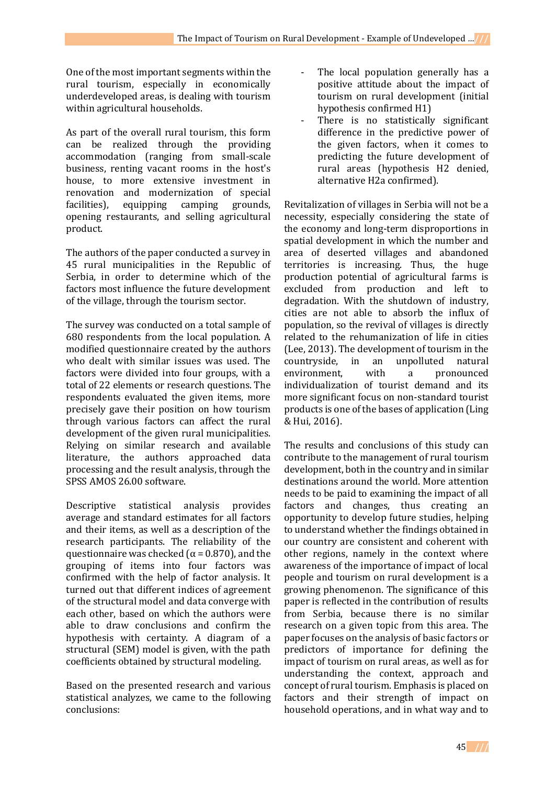One of the most important segments within the rural tourism, especially in economically underdeveloped areas, is dealing with tourism within agricultural households.

As part of the overall rural tourism, this form can be realized through the providing accommodation (ranging from small-scale business, renting vacant rooms in the host's house, to more extensive investment in renovation and modernization of special facilities), equipping camping grounds, opening restaurants, and selling agricultural product.

The authors of the paper conducted a survey in 45 rural municipalities in the Republic of Serbia, in order to determine which of the factors most influence the future development of the village, through the tourism sector.

The survey was conducted on a total sample of 680 respondents from the local population. A modified questionnaire created by the authors who dealt with similar issues was used. The factors were divided into four groups, with a total of 22 elements or research questions. The respondents evaluated the given items, more precisely gave their position on how tourism through various factors can affect the rural development of the given rural municipalities. Relying on similar research and available literature, the authors approached data processing and the result analysis, through the SPSS AMOS 26.00 software.

Descriptive statistical analysis provides average and standard estimates for all factors and their items, as well as a description of the research participants. The reliability of the questionnaire was checked ( $\alpha$  = 0.870), and the grouping of items into four factors was confirmed with the help of factor analysis. It turned out that different indices of agreement of the structural model and data converge with each other, based on which the authors were able to draw conclusions and confirm the hypothesis with certainty. A diagram of a structural (SEM) model is given, with the path coefficients obtained by structural modeling.

Based on the presented research and various statistical analyzes, we came to the following conclusions:

- The local population generally has a positive attitude about the impact of tourism on rural development (initial hypothesis confirmed H1)
- There is no statistically significant difference in the predictive power of the given factors, when it comes to predicting the future development of rural areas (hypothesis H2 denied, alternative H2a confirmed).

Revitalization of villages in Serbia will not be a necessity, especially considering the state of the economy and long-term disproportions in spatial development in which the number and area of deserted villages and abandoned territories is increasing. Thus, the huge production potential of agricultural farms is excluded from production and left to degradation. With the shutdown of industry, cities are not able to absorb the influx of population, so the revival of villages is directly related to the rehumanization of life in cities (Lee, 2013). The development of tourism in the countryside, in an unpolluted natural environment. with a pronounced individualization of tourist demand and its more significant focus on non-standard tourist products is one of the bases of application (Ling & Hui, 2016).

The results and conclusions of this study can contribute to the management of rural tourism development, both in the country and in similar destinations around the world. More attention needs to be paid to examining the impact of all factors and changes, thus creating an opportunity to develop future studies, helping to understand whether the findings obtained in our country are consistent and coherent with other regions, namely in the context where awareness of the importance of impact of local people and tourism on rural development is a growing phenomenon. The significance of this paper is reflected in the contribution of results from Serbia, because there is no similar research on a given topic from this area. The paper focuses on the analysis of basic factors or predictors of importance for defining the impact of tourism on rural areas, as well as for understanding the context, approach and concept of rural tourism. Emphasis is placed on factors and their strength of impact on household operations, and in what way and to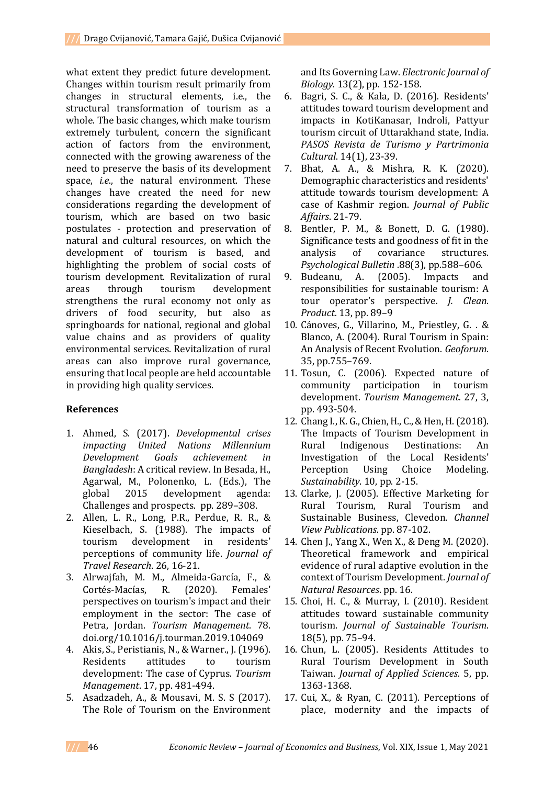what extent they predict future development. Changes within tourism result primarily from changes in structural elements, i.e., the structural transformation of tourism as a whole. The basic changes, which make tourism extremely turbulent, concern the significant action of factors from the environment, connected with the growing awareness of the need to preserve the basis of its development space, *i.e*., the natural environment. These changes have created the need for new considerations regarding the development of tourism, which are based on two basic postulates - protection and preservation of natural and cultural resources, on which the development of tourism is based, and highlighting the problem of social costs of tourism development. Revitalization of rural areas through tourism development strengthens the rural economy not only as drivers of food security, but also as springboards for national, regional and global value chains and as providers of quality environmental services. Revitalization of rural areas can also improve rural governance, ensuring that local people are held accountable in providing high quality services.

## **References**

- 1. Ahmed, S. (2017). *Developmental crises impacting United Nations Millennium Development Goals achievement in Bangladesh*: A critical review. In Besada, H., Agarwal, M., Polonenko, L. (Eds.), The global 2015 development agenda: Challenges and prospects. pp. 289–308.
- 2. Allen, L. R., Long, P.R., Perdue, R. R., & Kieselbach, S. (1988). The impacts of tourism development in residents' perceptions of community life. *Journal of Travel Research*. 26, 16-21.
- 3. Alrwajfah, M. M., Almeida-García, F., & Cortés-Macías, R. (2020). Females' perspectives on tourism's impact and their employment in the sector: The case of Petra, Jordan. *Tourism Management*. 78. doi.org/10.1016/j.tourman.2019.104069
- 4. Akis, S., Peristianis, N., & Warner., J. (1996). Residents attitudes to tourism development: The case of Cyprus. *Tourism Management*. 17, pp. 481-494.
- 5. Asadzadeh, A., & Mousavi, M. S. S (2017). The Role of Tourism on the Environment

and Its Governing Law. *Electronic Journal of Biology*. 13(2), pp. 152-158.

- 6. Bagri, S. C., & Kala, D. (2016). Residents' attitudes toward tourism development and impacts in KotiKanasar, Indroli, Pattyur tourism circuit of Uttarakhand state, India. *PASOS Revista de Turismo y Partrimonia Cultural*. 14(1), 23-39.
- 7. Bhat, A. A., & Mishra, R. K. (2020). Demographic characteristics and residents' attitude towards tourism development: A case of Kashmir region. *Journal of Public Affairs*. 21-79.
- 8. Bentler, P. M., & Bonett, D. G. (1980). Significance tests and goodness of fit in the analysis of covariance structures. *Psychological Bulletin* .88(3), pp.588–606.
- 9. Budeanu, A. (2005). Impacts and responsibilities for sustainable tourism: A tour operator's perspective. *J. Clean. Product*. 13, pp. 89–9
- 10. Cánoves, G., Villarino, M., Priestley, G. . & Blanco, A. (2004). Rural Tourism in Spain: An Analysis of Recent Evolution. *Geoforum*. 35, pp.755–769.
- 11. Tosun, C. (2006). Expected nature of community participation in tourism development. *Tourism Management*. 27, 3, pp. 493-504.
- 12. Chang I., K. G., Chien, H., C., & Hen, H. (2018). The Impacts of Tourism Development in Rural Indigenous Destinations: An Investigation of the Local Residents' Perception Using Choice Modeling. *Sustainability*. 10, pp. 2-15.
- 13. Clarke, J. (2005). Effective Marketing for Rural Tourism, Rural Tourism and Sustainable Business, Clevedon. *Channel View Publications*. pp. 87-102.
- 14. Chen J., Yang X., Wen X., & Deng M. (2020). Theoretical framework and empirical evidence of rural adaptive evolution in the context of Tourism Development. *Journal of Natural Resources*. pp. 16.
- 15. Choi, H. C., & Murray, I. (2010). Resident attitudes toward sustainable community tourism. *Journal of Sustainable Tourism*. 18(5), pp. 75–94.
- 16. Chun, L. (2005). Residents Attitudes to Rural Tourism Development in South Taiwan. *Journal of Applied Sciences*. 5, pp. 1363-1368.
- 17. Cui, X., & Ryan, C. (2011). Perceptions of place, modernity and the impacts of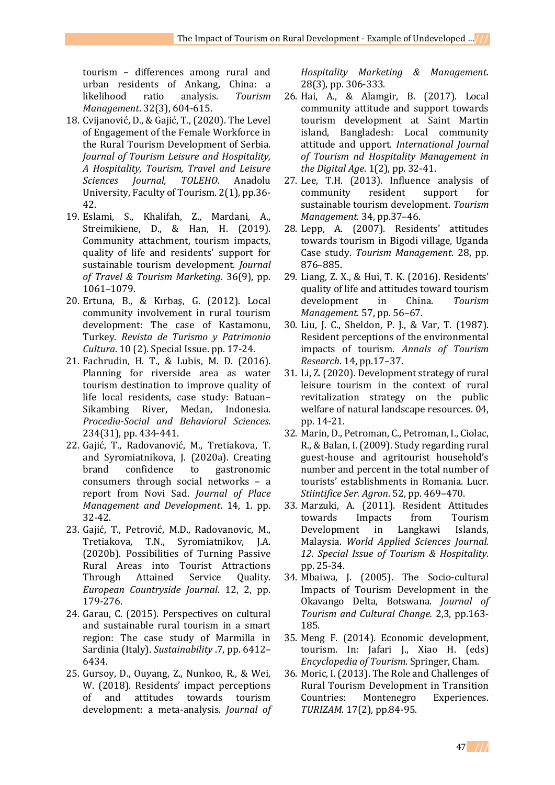tourism – differences among rural and urban residents of Ankang, China: a likelihood ratio analysis. *Tourism Management*. 32(3), 604-615.

- 18. Cvijanović, D., & Gajić, T., (2020). The Level of Engagement of the Female Workforce in the Rural Tourism Development of Serbia. *Journal of Tourism Leisure and Hospitality, A Hospitality, Tourism, Travel and Leisure Sciences Journal, TOLEHO*. Anadolu University, Faculty of Tourism. 2(1), pp.36- 42.
- 19. Eslami, S., Khalifah, Z., Mardani, A., Streimikiene, D., & Han, H. (2019). Community attachment, tourism impacts, quality of life and residents' support for sustainable tourism development. *Journal of Travel & Tourism Marketing*. 36(9), pp. 1061–1079.
- 20. Ertuna, B., & Kırbaş, G. (2012). Local community involvement in rural tourism development: The case of Kastamonu, Turkey. *Revista de Turismo y Patrimonio Cultura*. 10 (2). Special Issue. pp. 17-24.
- 21. Fachrudin, H. T., & Lubis, M. D. (2016). Planning for riverside area as water tourism destination to improve quality of life local residents, case study: Batuan– Sikambing River, Medan, Indonesia. *Procedia-Social and Behavioral Sciences*. 234(31), pp. 434-441.
- 22. Gajić, T., Radovanović, M., Tretiakova, T. and Syromiatnikova, J. (2020a). Creating brand confidence to gastronomic consumers through social networks – a report from Novi Sad. *Journal of Place Management and Development*. 14, 1. pp. 32-42.
- 23. Gajić, T., Petrović, M.D., Radovanovic, M., Tretiakova, T.N., Syromiatnikov, J.A. (2020b). Possibilities of Turning Passive Rural Areas into Tourist Attractions Through Attained Service Quality. *European Countryside Journal*. 12, 2, pp. 179-276.
- 24. Garau, C. (2015). Perspectives on cultural and sustainable rural tourism in a smart region: The case study of Marmilla in Sardinia (Italy). *Sustainability* .7, pp. 6412– 6434.
- 25. Gursoy, D., Ouyang, Z., Nunkoo, R., & Wei, W. (2018). Residents' impact perceptions of and attitudes towards tourism development: a meta-analysis. *Journal of*

*Hospitality Marketing & Management*. 28(3), pp. 306-333.

- 26. Hai, A., & Alamgir, B. (2017). Local community attitude and support towards tourism development at Saint Martin island, Bangladesh: Local community attitude and upport. *International Journal of Tourism nd Hospitality Management in the Digital Age*. 1(2), pp. 32-41.
- 27. Lee, T.H. (2013). Influence analysis of community resident support for sustainable tourism development. *Tourism Management*. 34, pp.37–46.
- 28. Lepp, A. (2007). Residents' attitudes towards tourism in Bigodi village, Uganda Case study. *Tourism Management*. 28, pp. 876–885.
- 29. Liang, Z. X., & Hui, T. K. (2016). Residents' quality of life and attitudes toward tourism development in China. *Tourism Management*. 57, pp. 56–67.
- 30. Liu, J. C., Sheldon, P. J., & Var, T. (1987). Resident perceptions of the environmental impacts of tourism. *Annals of Tourism Research*. 14, pp.17–37.
- 31. Li, Z. (2020). Development strategy of rural leisure tourism in the context of rural revitalization strategy on the public welfare of natural landscape resources. 04, pp. 14-21.
- 32. Marin, D., Petroman, C., Petroman, I., Ciolac, R., & Balan, I. (2009). Study regarding rural guest-house and agritourist household's number and percent in the total number of tourists' establishments in Romania. Lucr. *Stiintifice Ser. Agron*. 52, pp. 469–470.
- 33. Marzuki, A. (2011). Resident Attitudes towards Impacts from Tourism Development in Langkawi Islands, Malaysia. *World Applied Sciences Journal. 12. Special Issue of Tourism & Hospitality*. pp. 25-34.
- 34. Mbaiwa, J. (2005). The Socio-cultural Impacts of Tourism Development in the Okavango Delta, Botswana. *Journal of Tourism and Cultural Change.* 2,3, pp.163- 185.
- 35. Meng F. (2014). Economic development, tourism. In: Jafari J., Xiao H. (eds) *Encyclopedia of Tourism*. Springer, Cham.
- 36. Moric, I. (2013). The Role and Challenges of Rural Tourism Development in Transition Countries: Montenegro Experiences. *TURIZAM*. 17(2), pp.84-95.